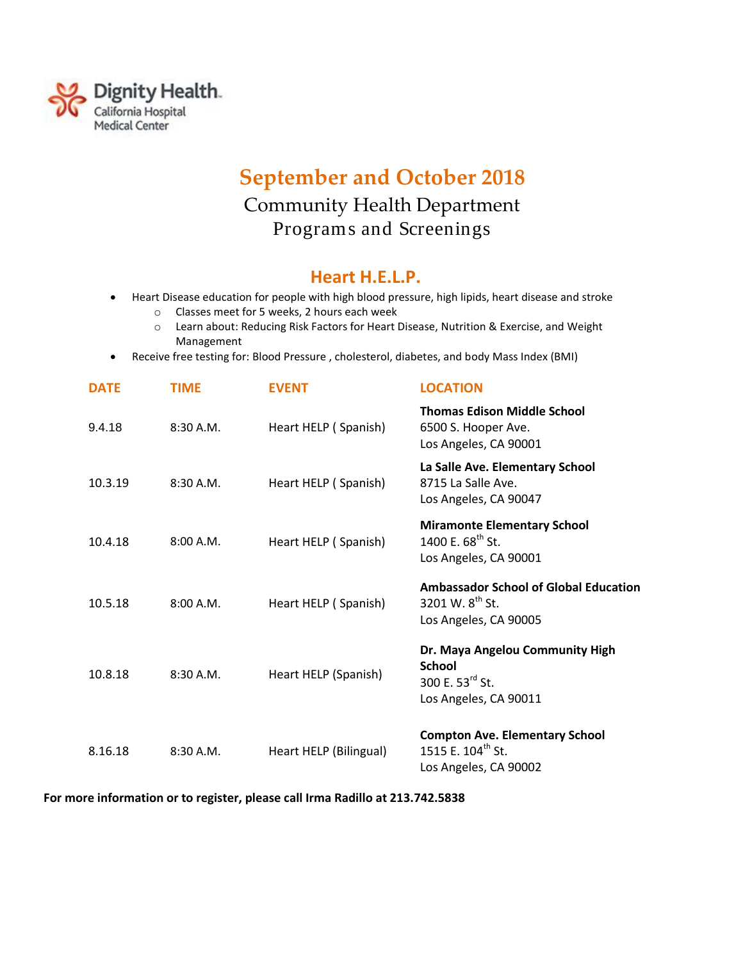

## **September and October 2018**  Community Health Department Programs and Screenings

## **Heart H.E.L.P.**

- Heart Disease education for people with high blood pressure, high lipids, heart disease and stroke
	- o Classes meet for 5 weeks, 2 hours each week
	- o Learn about: Reducing Risk Factors for Heart Disease, Nutrition & Exercise, and Weight Management
- Receive free testing for: Blood Pressure , cholesterol, diabetes, and body Mass Index (BMI)

| <b>DATE</b> | TIME      | <b>EVENT</b>           | <b>LOCATION</b>                                                                                   |
|-------------|-----------|------------------------|---------------------------------------------------------------------------------------------------|
| 9.4.18      | 8:30A.M.  | Heart HELP (Spanish)   | <b>Thomas Edison Middle School</b><br>6500 S. Hooper Ave.<br>Los Angeles, CA 90001                |
| 10.3.19     | 8:30A.M.  | Heart HELP (Spanish)   | La Salle Ave. Elementary School<br>8715 La Salle Ave.<br>Los Angeles, CA 90047                    |
| 10.4.18     | 8:00 A.M. | Heart HELP (Spanish)   | <b>Miramonte Elementary School</b><br>1400 E. 68 <sup>th</sup> St.<br>Los Angeles, CA 90001       |
| 10.5.18     | 8:00 A.M. | Heart HELP (Spanish)   | <b>Ambassador School of Global Education</b><br>3201 W. $8^{th}$ St.<br>Los Angeles, CA 90005     |
| 10.8.18     | 8:30 A.M. | Heart HELP (Spanish)   | Dr. Maya Angelou Community High<br><b>School</b><br>300 E. $53^{rd}$ St.<br>Los Angeles, CA 90011 |
| 8.16.18     | 8:30 A.M. | Heart HELP (Bilingual) | <b>Compton Ave. Elementary School</b><br>1515 E. 104 <sup>th</sup> St.<br>Los Angeles, CA 90002   |

**For more information or to register, please call Irma Radillo at 213.742.5838**